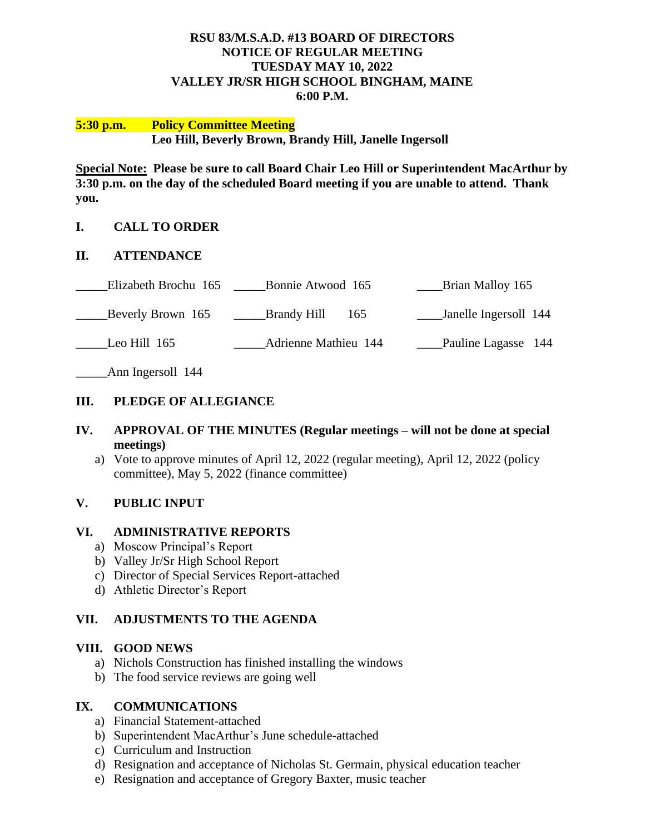#### **RSU 83/M.S.A.D. #13 BOARD OF DIRECTORS NOTICE OF REGULAR MEETING TUESDAY MAY 10, 2022 VALLEY JR/SR HIGH SCHOOL BINGHAM, MAINE 6:00 P.M.**

#### **5:30 p.m. Policy Committee Meeting Leo Hill, Beverly Brown, Brandy Hill, Janelle Ingersoll**

**Special Note: Please be sure to call Board Chair Leo Hill or Superintendent MacArthur by 3:30 p.m. on the day of the scheduled Board meeting if you are unable to attend. Thank you.**

## **I. CALL TO ORDER**

#### **II. ATTENDANCE**

| Elizabeth Brochu 165 | Bonnie Atwood 165           | Brian Malloy 165      |
|----------------------|-----------------------------|-----------------------|
| Beverly Brown 165    | Brandy Hill<br>165          | Janelle Ingersoll 144 |
| Leo Hill 165         | <b>Adrienne Mathieu 144</b> | Pauline Lagasse 144   |

\_\_\_\_\_Ann Ingersoll 144

## **III. PLEDGE OF ALLEGIANCE**

## **IV. APPROVAL OF THE MINUTES (Regular meetings – will not be done at special meetings)**

a) Vote to approve minutes of April 12, 2022 (regular meeting), April 12, 2022 (policy committee), May 5, 2022 (finance committee)

## **V. PUBLIC INPUT**

#### **VI. ADMINISTRATIVE REPORTS**

- a) Moscow Principal's Report
- b) Valley Jr/Sr High School Report
- c) Director of Special Services Report-attached
- d) Athletic Director's Report

## **VII. ADJUSTMENTS TO THE AGENDA**

#### **VIII. GOOD NEWS**

- a) Nichols Construction has finished installing the windows
- b) The food service reviews are going well

#### **IX. COMMUNICATIONS**

- a) Financial Statement-attached
- b) Superintendent MacArthur's June schedule-attached
- c) Curriculum and Instruction
- d) Resignation and acceptance of Nicholas St. Germain, physical education teacher
- e) Resignation and acceptance of Gregory Baxter, music teacher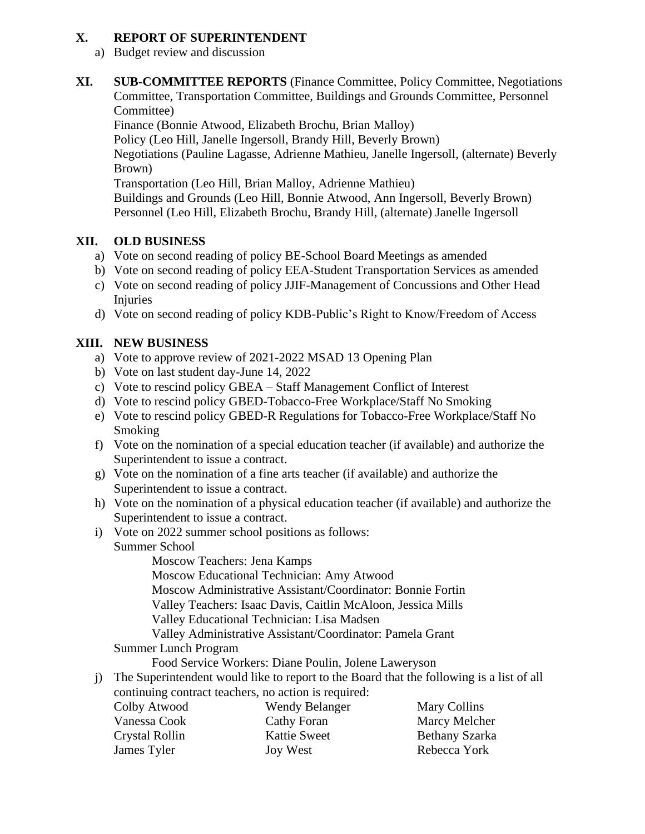## **X. REPORT OF SUPERINTENDENT**

- a) Budget review and discussion
- **XI. SUB-COMMITTEE REPORTS** (Finance Committee, Policy Committee, Negotiations Committee, Transportation Committee, Buildings and Grounds Committee, Personnel Committee)

Finance (Bonnie Atwood, Elizabeth Brochu, Brian Malloy)

Policy (Leo Hill, Janelle Ingersoll, Brandy Hill, Beverly Brown)

Negotiations (Pauline Lagasse, Adrienne Mathieu, Janelle Ingersoll, (alternate) Beverly Brown)

Transportation (Leo Hill, Brian Malloy, Adrienne Mathieu)

Buildings and Grounds (Leo Hill, Bonnie Atwood, Ann Ingersoll, Beverly Brown) Personnel (Leo Hill, Elizabeth Brochu, Brandy Hill, (alternate) Janelle Ingersoll

## **XII. OLD BUSINESS**

- a) Vote on second reading of policy BE-School Board Meetings as amended
- b) Vote on second reading of policy EEA-Student Transportation Services as amended
- c) Vote on second reading of policy JJIF-Management of Concussions and Other Head Injuries
- d) Vote on second reading of policy KDB-Public's Right to Know/Freedom of Access

# **XIII. NEW BUSINESS**

- a) Vote to approve review of 2021-2022 MSAD 13 Opening Plan
- b) Vote on last student day-June 14, 2022
- c) Vote to rescind policy GBEA Staff Management Conflict of Interest
- d) Vote to rescind policy GBED-Tobacco-Free Workplace/Staff No Smoking
- e) Vote to rescind policy GBED-R Regulations for Tobacco-Free Workplace/Staff No Smoking
- f) Vote on the nomination of a special education teacher (if available) and authorize the Superintendent to issue a contract.
- g) Vote on the nomination of a fine arts teacher (if available) and authorize the Superintendent to issue a contract.
- h) Vote on the nomination of a physical education teacher (if available) and authorize the Superintendent to issue a contract.
- i) Vote on 2022 summer school positions as follows: Summer School

Moscow Teachers: Jena Kamps Moscow Educational Technician: Amy Atwood

Moscow Administrative Assistant/Coordinator: Bonnie Fortin

Valley Teachers: Isaac Davis, Caitlin McAloon, Jessica Mills

Valley Educational Technician: Lisa Madsen

Valley Administrative Assistant/Coordinator: Pamela Grant

Summer Lunch Program

Food Service Workers: Diane Poulin, Jolene Laweryson

j) The Superintendent would like to report to the Board that the following is a list of all continuing contract teachers, no action is required:

| Colby Atwood          | Wendy Belanger      | Mary Collins   |
|-----------------------|---------------------|----------------|
| Vanessa Cook          | Cathy Foran         | Marcy Melcher  |
| <b>Crystal Rollin</b> | <b>Kattie Sweet</b> | Bethany Szarka |
| James Tyler           | Joy West            | Rebecca York   |